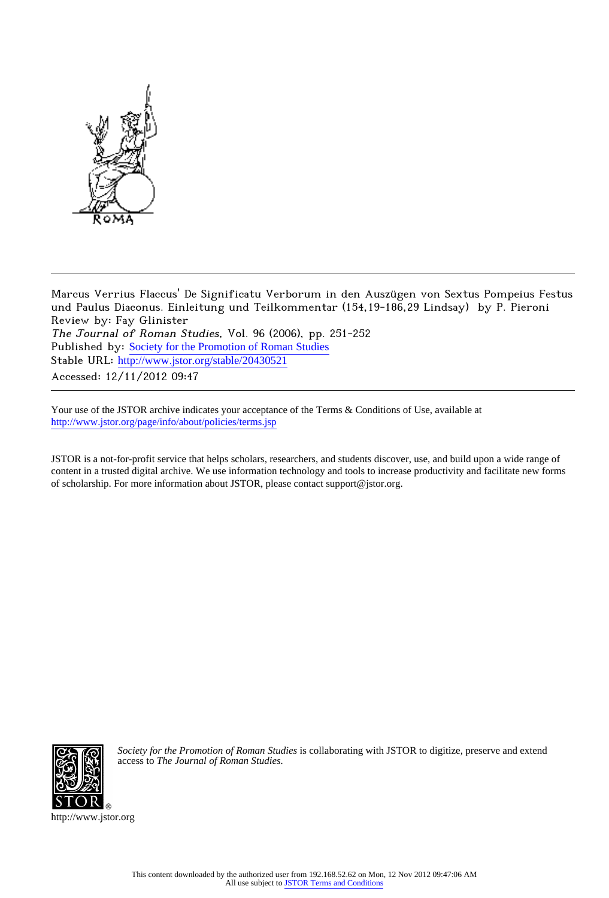

Marcus Verrius Flaccus' De Significatu Verborum in den Auszügen von Sextus Pompeius Festus und Paulus Diaconus. Einleitung und Teilkommentar (154,19-186,29 Lindsay) by P. Pieroni Review by: Fay Glinister The Journal of Roman Studies, Vol. 96 (2006), pp. 251-252 Published by: [Society for the Promotion of Roman Studies](http://www.jstor.org/action/showPublisher?publisherCode=sprs) Stable URL: http://www.jstor.org/stable/20430521 Accessed: 12/11/2012 09:47

Your use of the JSTOR archive indicates your acceptance of the Terms & Conditions of Use, available at <http://www.jstor.org/page/info/about/policies/terms.jsp>

JSTOR is a not-for-profit service that helps scholars, researchers, and students discover, use, and build upon a wide range of content in a trusted digital archive. We use information technology and tools to increase productivity and facilitate new forms of scholarship. For more information about JSTOR, please contact support@jstor.org.



*Society for the Promotion of Roman Studies* is collaborating with JSTOR to digitize, preserve and extend access to *The Journal of Roman Studies.*

http://www.jstor.org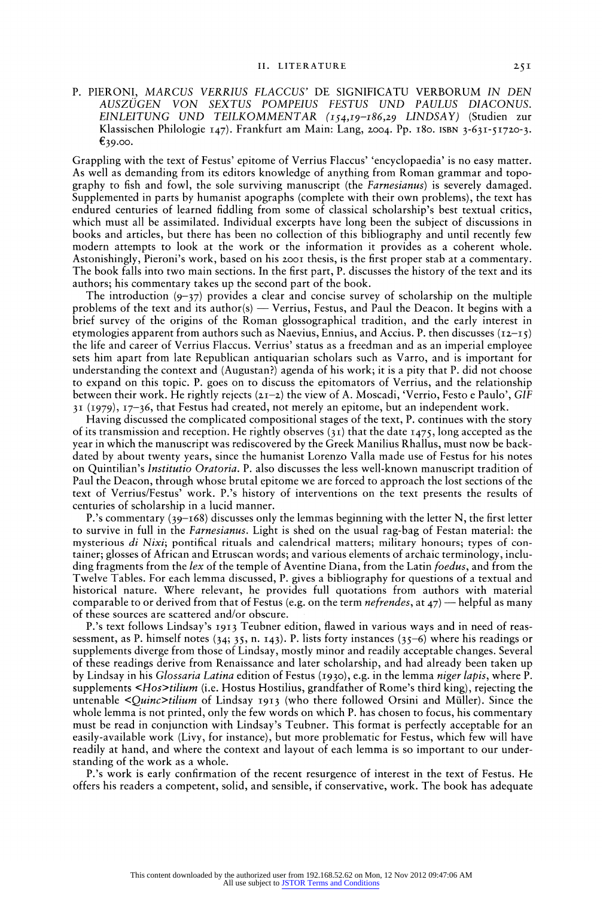**P. PIERONI, MARCUS VERRIUS FLACCUS' DE SIGNIFICATU VERBORUM IN DEN AUSZUGEN VON SEXTUS POMPEIUS FESTUS UND PAULUS DIACONUS. EINLEITUNG UND TEILKOMMENTAR (154,19-186,29 LINDSAY) (Studien zur Klassischen Philologie I47). Frankfurt am Main: Lang, 2004. Pp. I80. ISBN 3-63I-5I7 0-3.**   $£39.00.$ 

**Grappling with the text of Festus' epitome of Verrius Flaccus' 'encyclopaedia' is no easy matter.**  As well as demanding from its editors knowledge of anything from Roman grammar and topo**graphy to fish and fowl, the sole surviving manuscript (the Farnesianus) is severely damaged. Supplemented in parts by humanist apographs (complete with their own problems), the text has endured centuries of learned fiddling from some of classical scholarship's best textual critics, which must all be assimilated. Individual excerpts have long been the subject of discussions in books and articles, but there has been no collection of this bibliography and until recently few modern attempts to look at the work or the information it provides as a coherent whole.**  Astonishingly, Pieroni's work, based on his 2001 thesis, is the first proper stab at a commentary. **The book falls into two main sections. In the first part, P. discusses the history of the text and its authors; his commentary takes up the second part of the book.** 

**The introduction (9-37) provides a clear and concise survey of scholarship on the multiple problems of the text and its author(s) - Verrius, Festus, and Paul the Deacon. It begins with a brief survey of the origins of the Roman glossographical tradition, and the early interest in**  etymologies apparent from authors such as Naevius, Ennius, and Accius. P. then discusses  $(i2-j5)$ **the life and career of Verrius Flaccus. Verrius' status as a freedman and as an imperial employee sets him apart from late Republican antiquarian scholars such as Varro, and is important for understanding the context and (Augustan?) agenda of his work; it is a pity that P. did not choose to expand on this topic. P. goes on to discuss the epitomators of Verrius, and the relationship between their work. He rightly rejects (zi-z) the view of A. Moscadi, 'Verrio, Festo e Paulo', GIF 3I (1979), I7-36, that Festus had created, not merely an epitome, but an independent work.** 

**Having discussed the complicated compositional stages of the text, P. continues with the story of its transmission and reception. He rightly observes (3I) that the date I475, long accepted as the year in which the manuscript was rediscovered by the Greek Manilius Rhallus, must now be back dated by about twenty years, since the humanist Lorenzo Valla made use of Festus for his notes on Quintilian's Institutio Oratoria. P. also discusses the less well-known manuscript tradition of Paul the Deacon, through whose brutal epitome we are forced to approach the lost sections of the text of Verrius/Festus' work. P.'s history of interventions on the text presents the results of centuries of scholarship in a lucid manner.** 

**P.'s commentary (39-I68) discusses only the lemmas beginning with the letter N, the first letter to survive in full in the Farnesianus. Light is shed on the usual rag-bag of Festan material: the**  mysterious di Nixi; pontifical rituals and calendrical matters; military honours; types of con**tainer; glosses of African and Etruscan words; and various elements of archaic terminology, inclu ding fragments from the lex of the temple of Aventine Diana, from the Latin foedus, and from the Twelve Tables. For each lemma discussed, P. gives a bibliography for questions of a textual and historical nature. Where relevant, he provides full quotations from authors with material**  comparable to or derived from that of Festus (e.g. on the term *nefrendes*, at 47) — helpful as many **of these sources are scattered and/or obscure.** 

**P.'s text follows Lindsay's 19I3 Teubner edition, flawed in various ways and in need of reas sessment, as P. himself notes (34; 35, n. I43). P. lists forty instances (35-6) where his readings or supplements diverge from those of Lindsay, mostly minor and readily acceptable changes. Several of these readings derive from Renaissance and later scholarship, and had already been taken up by Lindsay in his Glossaria Latina edition of Festus (I930), e.g. in the lemma niger lapis, where P. supplements <Hos>tilium (i.e. Hostus Hostilius, grandfather of Rome's third king), rejecting the untenable <Quinc>tilium of Lindsay I913 (who there followed Orsini and Muller). Since the whole lemma is not printed, only the few words on which P. has chosen to focus, his commentary must be read in conjunction with Lindsay's Teubner. This format is perfectly acceptable for an easily-available work (Livy, for instance), but more problematic for Festus, which few will have readily at hand, and where the context and layout of each lemma is so important to our under standing of the work as a whole.** 

**P.'s work is early confirmation of the recent resurgence of interest in the text of Festus. He offers his readers a competent, solid, and sensible, if conservative, work. The book has adequate**